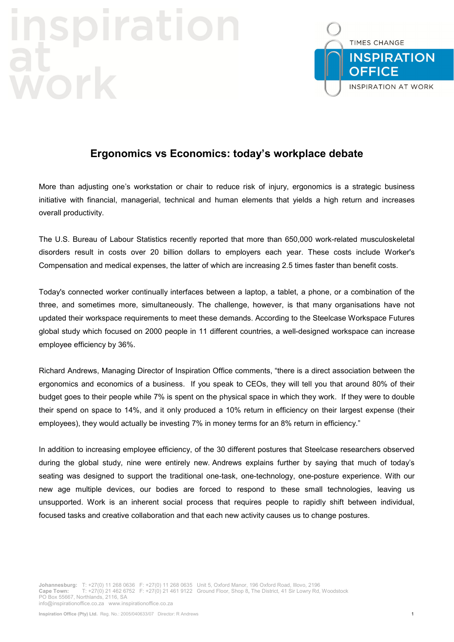## **iratio** VOY



## **Ergonomics vs Economics: today's workplace debate**

More than adjusting one's workstation or chair to reduce risk of injury, ergonomics is a strategic business initiative with financial, managerial, technical and human elements that yields a high return and increases overall productivity.

The U.S. Bureau of Labour Statistics recently reported that more than 650,000 work-related musculoskeletal disorders result in costs over 20 billion dollars to employers each year. These costs include Worker's Compensation and medical expenses, the latter of which are increasing 2.5 times faster than benefit costs.

Today's connected worker continually interfaces between a laptop, a tablet, a phone, or a combination of the three, and sometimes more, simultaneously. The challenge, however, is that many organisations have not updated their workspace requirements to meet these demands. According to the Steelcase Workspace Futures global study which focused on 2000 people in 11 different countries, a well-designed workspace can increase employee efficiency by 36%.

Richard Andrews, Managing Director of Inspiration Office comments, "there is a direct association between the ergonomics and economics of a business. If you speak to CEOs, they will tell you that around 80% of their budget goes to their people while 7% is spent on the physical space in which they work. If they were to double their spend on space to 14%, and it only produced a 10% return in efficiency on their largest expense (their employees), they would actually be investing 7% in money terms for an 8% return in efficiency."

In addition to increasing employee efficiency, of the 30 different postures that Steelcase researchers observed during the global study, nine were entirely new. Andrews explains further by saying that much of today's seating was designed to support the traditional one-task, one-technology, one-posture experience. With our new age multiple devices, our bodies are forced to respond to these small technologies, leaving us unsupported. Work is an inherent social process that requires people to rapidly shift between individual, focused tasks and creative collaboration and that each new activity causes us to change postures.